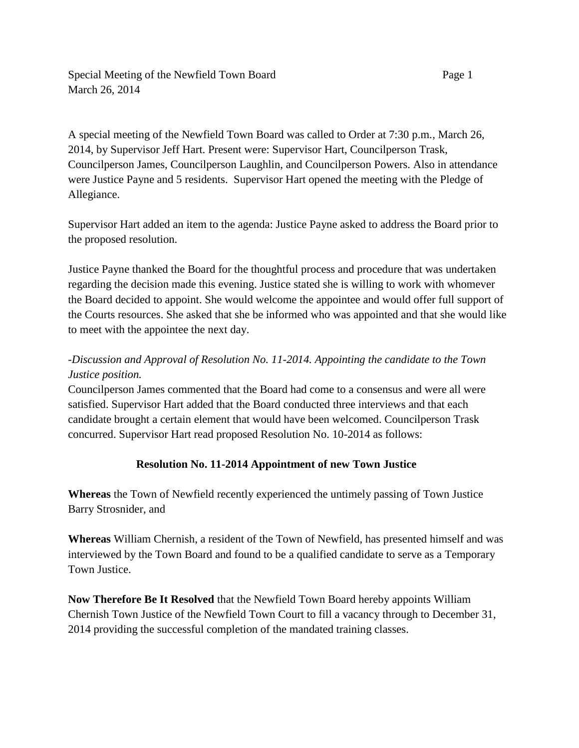Special Meeting of the Newfield Town Board Page 1 March 26, 2014

A special meeting of the Newfield Town Board was called to Order at 7:30 p.m., March 26, 2014, by Supervisor Jeff Hart. Present were: Supervisor Hart, Councilperson Trask, Councilperson James, Councilperson Laughlin, and Councilperson Powers. Also in attendance were Justice Payne and 5 residents. Supervisor Hart opened the meeting with the Pledge of Allegiance.

Supervisor Hart added an item to the agenda: Justice Payne asked to address the Board prior to the proposed resolution.

Justice Payne thanked the Board for the thoughtful process and procedure that was undertaken regarding the decision made this evening. Justice stated she is willing to work with whomever the Board decided to appoint. She would welcome the appointee and would offer full support of the Courts resources. She asked that she be informed who was appointed and that she would like to meet with the appointee the next day.

## *-Discussion and Approval of Resolution No. 11-2014. Appointing the candidate to the Town Justice position.*

Councilperson James commented that the Board had come to a consensus and were all were satisfied. Supervisor Hart added that the Board conducted three interviews and that each candidate brought a certain element that would have been welcomed. Councilperson Trask concurred. Supervisor Hart read proposed Resolution No. 10-2014 as follows:

## **Resolution No. 11-2014 Appointment of new Town Justice**

**Whereas** the Town of Newfield recently experienced the untimely passing of Town Justice Barry Strosnider, and

**Whereas** William Chernish, a resident of the Town of Newfield, has presented himself and was interviewed by the Town Board and found to be a qualified candidate to serve as a Temporary Town Justice.

**Now Therefore Be It Resolved** that the Newfield Town Board hereby appoints William Chernish Town Justice of the Newfield Town Court to fill a vacancy through to December 31, 2014 providing the successful completion of the mandated training classes.